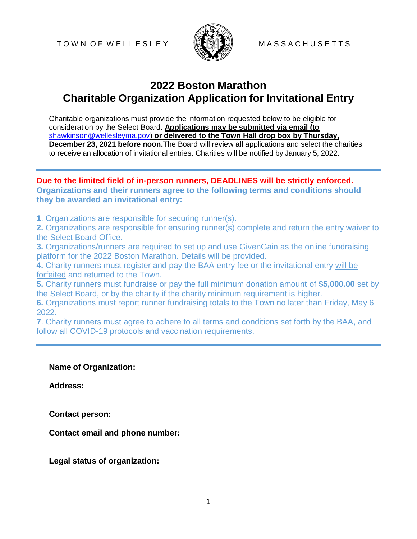

## **2022 Boston Marathon Charitable Organization Application for Invitational Entry**

Charitable organizations must provide the information requested below to be eligible for consideration by the Select Board. **Applications may be submitted via email (to**  [shawkinson@wellesleyma.gov\)](mailto:shawkinson@wellesleyma.gov) **or delivered to the Town Hall drop box by Thursday, December 23, 2021 before noon.**The Board will review all applications and select the charities to receive an allocation of invitational entries. Charities will be notified by January 5, 2022.

**Due to the limited field of in-person runners, DEADLINES will be strictly enforced. Organizations and their runners agree to the following terms and conditions should they be awarded an invitational entry:**

**1**. Organizations are responsible for securing runner(s).

**2.** Organizations are responsible for ensuring runner(s) complete and return the entry waiver to the Select Board Office.

**3.** Organizations/runners are required to set up and use GivenGain as the online fundraising platform for the 2022 Boston Marathon. Details will be provided.

**4.** Charity runners must register and pay the BAA entry fee or the invitational entry will be forfeited and returned to the Town.

**5.** Charity runners must fundraise or pay the full minimum donation amount of **\$5,000.00** set by the Select Board, or by the charity if the charity minimum requirement is higher.

**6.** Organizations must report runner fundraising totals to the Town no later than Friday, May 6 2022.

**7**. Charity runners must agree to adhere to all terms and conditions set forth by the BAA, and follow all COVID-19 protocols and vaccination requirements.

**Name of Organization:**

**Address:**

**Contact person:**

**Contact email and phone number:**

**Legal status of organization:**